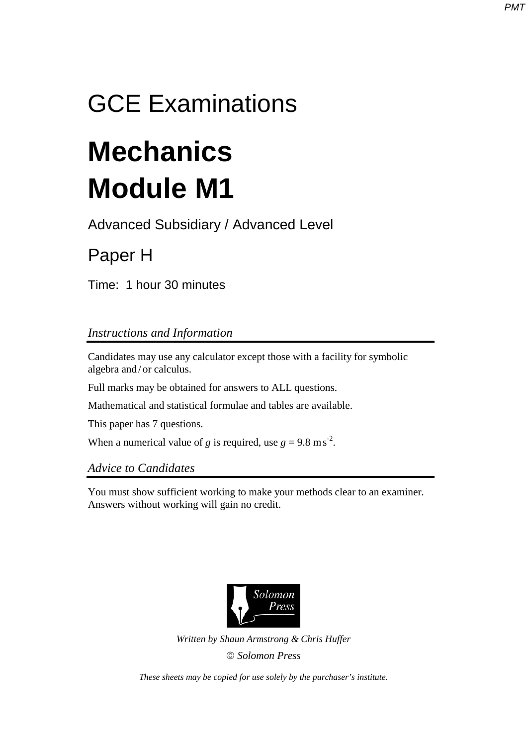## GCE Examinations

# **Mechanics Module M1**

Advanced Subsidiary / Advanced Level

## Paper H

Time: 1 hour 30 minutes

### *Instructions and Information*

Candidates may use any calculator except those with a facility for symbolic algebra and / or calculus.

Full marks may be obtained for answers to ALL questions.

Mathematical and statistical formulae and tables are available.

This paper has 7 questions.

When a numerical value of *g* is required, use  $g = 9.8 \text{ m s}^2$ .

#### *Advice to Candidates*

You must show sufficient working to make your methods clear to an examiner. Answers without working will gain no credit.



*Written by Shaun Armstrong & Chris Huffer Solomon Press* 

*These sheets may be copied for use solely by the purchaser's institute.*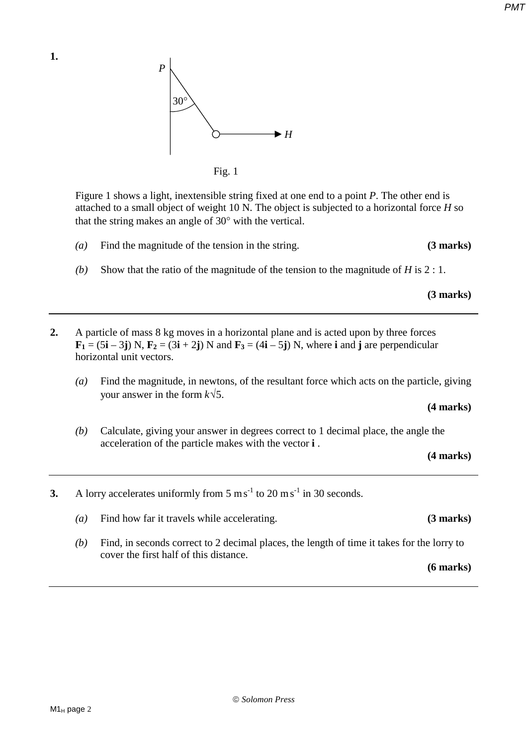*P* 30° *D → H*<br>*H* Fig. 1

 Figure 1 shows a light, inextensible string fixed at one end to a point *P*. The other end is attached to a small object of weight 10 N. The object is subjected to a horizontal force *H* so that the string makes an angle of 30° with the vertical.

- *(a)* Find the magnitude of the tension in the string. **(3 marks)**
- *(b)* Show that the ratio of the magnitude of the tension to the magnitude of *H* is 2 : 1.

 **(3 marks)** 

- **2.** A particle of mass 8 kg moves in a horizontal plane and is acted upon by three forces  $\mathbf{F}_1 = (5\mathbf{i} - 3\mathbf{j}) \text{ N}, \mathbf{F}_2 = (3\mathbf{i} + 2\mathbf{j}) \text{ N}$  and  $\mathbf{F}_3 = (4\mathbf{i} - 5\mathbf{j}) \text{ N}$ , where **i** and **j** are perpendicular horizontal unit vectors.
	- *(a)* Find the magnitude, in newtons, of the resultant force which acts on the particle, giving your answer in the form *k*√5.

**(4 marks)** 

*(b)* Calculate, giving your answer in degrees correct to 1 decimal place, the angle the acceleration of the particle makes with the vector **i** .

**(4 marks)** 

- **3.** A lorry accelerates uniformly from  $5 \text{ ms}^{-1}$  to  $20 \text{ ms}^{-1}$  in  $30 \text{ seconds}$ .
	- *(a)* Find how far it travels while accelerating. **(3 marks)**
	- *(b)* Find, in seconds correct to 2 decimal places, the length of time it takes for the lorry to cover the first half of this distance.

**(6 marks)**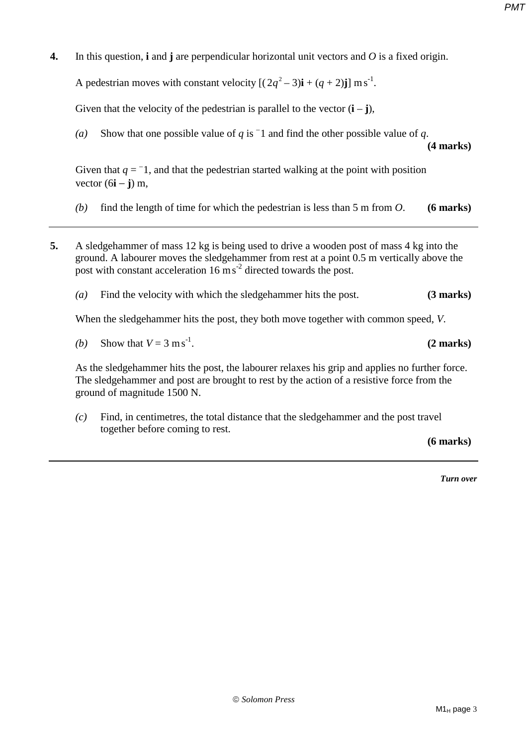**4.** In this question, **i** and **j** are perpendicular horizontal unit vectors and *O* is a fixed origin.

A pedestrian moves with constant velocity  $[(2q^2-3)i+(q+2)j]$  m s<sup>-1</sup>.

Given that the velocity of the pedestrian is parallel to the vector  $(i - j)$ ,

(*a*) Show that one possible value of *q* is  $\overline{\phantom{a}}$  1 and find the other possible value of *q*.

**(4 marks)**

Given that  $q = -1$ , and that the pedestrian started walking at the point with position vector (6**i** − **j**) m,

- *(b)* find the length of time for which the pedestrian is less than 5 m from *O*. **(6 marks)**
- **5.** A sledgehammer of mass 12 kg is being used to drive a wooden post of mass 4 kg into the ground. A labourer moves the sledgehammer from rest at a point 0.5 m vertically above the post with constant acceleration  $16 \text{ m s}^2$  directed towards the post.
	- *(a)* Find the velocity with which the sledgehammer hits the post. **(3 marks)**

When the sledgehammer hits the post, they both move together with common speed, *V*.

*(b)* Show that  $V = 3 \text{ m s}^{-1}$ .

As the sledgehammer hits the post, the labourer relaxes his grip and applies no further force. The sledgehammer and post are brought to rest by the action of a resistive force from the ground of magnitude 1500 N.

*(c)* Find, in centimetres, the total distance that the sledgehammer and the post travel together before coming to rest.

**(6 marks)**

-1. **(2 marks)** 

*Turn over*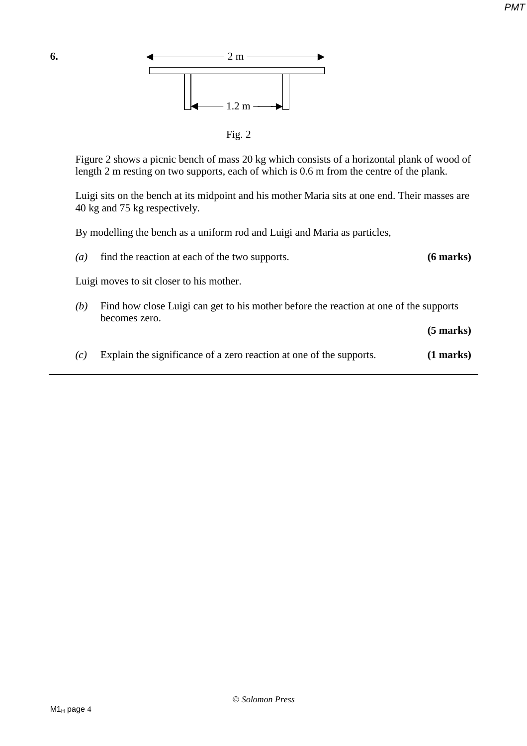

Figure 2 shows a picnic bench of mass 20 kg which consists of a horizontal plank of wood of length 2 m resting on two supports, each of which is 0.6 m from the centre of the plank.

Luigi sits on the bench at its midpoint and his mother Maria sits at one end. Their masses are 40 kg and 75 kg respectively.

By modelling the bench as a uniform rod and Luigi and Maria as particles,

*(a)* find the reaction at each of the two supports. **(6 marks)** Luigi moves to sit closer to his mother. *(b)* Find how close Luigi can get to his mother before the reaction at one of the supports becomes zero. **(5 marks)**  *(c)* Explain the significance of a zero reaction at one of the supports. **(1 marks)**